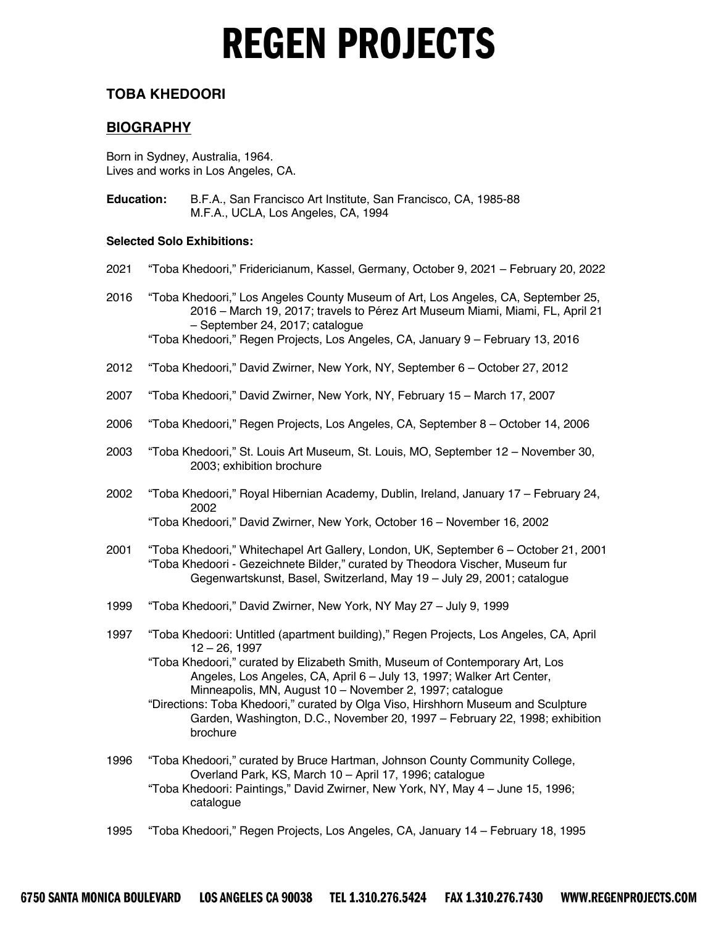## **TOBA KHEDOORI**

## **BIOGRAPHY**

Born in Sydney, Australia, 1964. Lives and works in Los Angeles, CA.

**Education:** B.F.A., San Francisco Art Institute, San Francisco, CA, 1985-88 M.F.A., UCLA, Los Angeles, CA, 1994

### **Selected Solo Exhibitions:**

- 2021 "Toba Khedoori," Fridericianum, Kassel, Germany, October 9, 2021 February 20, 2022
- 2016 "Toba Khedoori," Los Angeles County Museum of Art, Los Angeles, CA, September 25, 2016 – March 19, 2017; travels to Pérez Art Museum Miami, Miami, FL, April 21 – September 24, 2017; catalogue

- 2012 "Toba Khedoori," David Zwirner, New York, NY, September 6 October 27, 2012
- 2007 "Toba Khedoori," David Zwirner, New York, NY, February 15 March 17, 2007
- 2006 "Toba Khedoori," Regen Projects, Los Angeles, CA, September 8 October 14, 2006
- 2003 "Toba Khedoori," St. Louis Art Museum, St. Louis, MO, September 12 November 30, 2003; exhibition brochure
- 2002 "Toba Khedoori," Royal Hibernian Academy, Dublin, Ireland, January 17 February 24, 2002 "Toba Khedoori," David Zwirner, New York, October 16 – November 16, 2002
- 2001 "Toba Khedoori," Whitechapel Art Gallery, London, UK, September 6 October 21, 2001 "Toba Khedoori - Gezeichnete Bilder," curated by Theodora Vischer, Museum fur Gegenwartskunst, Basel, Switzerland, May 19 – July 29, 2001; catalogue
- 1999 "Toba Khedoori," David Zwirner, New York, NY May 27 July 9, 1999
- 1997 "Toba Khedoori: Untitled (apartment building)," Regen Projects, Los Angeles, CA, April 12 – 26, 1997

"Toba Khedoori," curated by Elizabeth Smith, Museum of Contemporary Art, Los Angeles, Los Angeles, CA, April 6 – July 13, 1997; Walker Art Center, Minneapolis, MN, August 10 – November 2, 1997; catalogue

"Directions: Toba Khedoori," curated by Olga Viso, Hirshhorn Museum and Sculpture Garden, Washington, D.C., November 20, 1997 – February 22, 1998; exhibition brochure

1996 "Toba Khedoori," curated by Bruce Hartman, Johnson County Community College, Overland Park, KS, March 10 – April 17, 1996; catalogue

"Toba Khedoori: Paintings," David Zwirner, New York, NY, May 4 – June 15, 1996; catalogue

1995 "Toba Khedoori," Regen Projects, Los Angeles, CA, January 14 – February 18, 1995

<sup>&</sup>quot;Toba Khedoori," Regen Projects, Los Angeles, CA, January 9 – February 13, 2016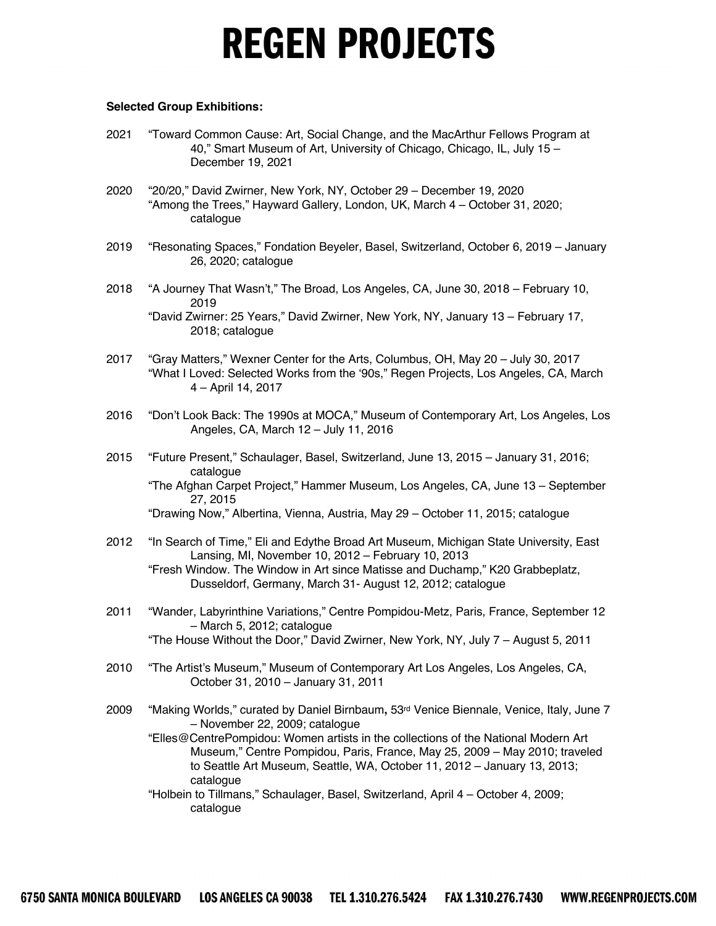#### **Selected Group Exhibitions:**

- 2021 "Toward Common Cause: Art, Social Change, and the MacArthur Fellows Program at 40," Smart Museum of Art, University of Chicago, Chicago, IL, July 15 – December 19, 2021
- 2020 "20/20," David Zwirner, New York, NY, October 29 December 19, 2020 "Among the Trees," Hayward Gallery, London, UK, March 4 – October 31, 2020; catalogue
- 2019 "Resonating Spaces," Fondation Beyeler, Basel, Switzerland, October 6, 2019 January 26, 2020; catalogue
- 2018 "A Journey That Wasn't," The Broad, Los Angeles, CA, June 30, 2018 February 10, 2019 "David Zwirner: 25 Years," David Zwirner, New York, NY, January 13 – February 17, 2018; catalogue
- 2017 "Gray Matters," Wexner Center for the Arts, Columbus, OH, May 20 July 30, 2017 "What I Loved: Selected Works from the '90s," Regen Projects, Los Angeles, CA, March 4 – April 14, 2017
- 2016 "Don't Look Back: The 1990s at MOCA," Museum of Contemporary Art, Los Angeles, Los Angeles, CA, March 12 – July 11, 2016
- 2015 "Future Present," Schaulager, Basel, Switzerland, June 13, 2015 January 31, 2016; catalogue "The Afghan Carpet Project," Hammer Museum, Los Angeles, CA, June 13 – September 27, 2015 "Drawing Now," Albertina, Vienna, Austria, May 29 – October 11, 2015; catalogue
- 2012 "In Search of Time," Eli and Edythe Broad Art Museum, Michigan State University, East Lansing, MI, November 10, 2012 – February 10, 2013 "Fresh Window. The Window in Art since Matisse and Duchamp," K20 Grabbeplatz, Dusseldorf, Germany, March 31- August 12, 2012; catalogue
- 2011 "Wander, Labyrinthine Variations," Centre Pompidou-Metz, Paris, France, September 12 – March 5, 2012; catalogue "The House Without the Door," David Zwirner, New York, NY, July 7 – August 5, 2011
- 2010 "The Artist's Museum," Museum of Contemporary Art Los Angeles, Los Angeles, CA, October 31, 2010 – January 31, 2011
- 2009 "Making Worlds," curated by Daniel Birnbaum**,** 53rd Venice Biennale, Venice, Italy, June 7 – November 22, 2009; catalogue
	- "Elles@CentrePompidou: Women artists in the collections of the National Modern Art Museum," Centre Pompidou, Paris, France, May 25, 2009 – May 2010; traveled to Seattle Art Museum, Seattle, WA, October 11, 2012 – January 13, 2013; catalogue
	- "Holbein to Tillmans," Schaulager, Basel, Switzerland, April 4 October 4, 2009; catalogue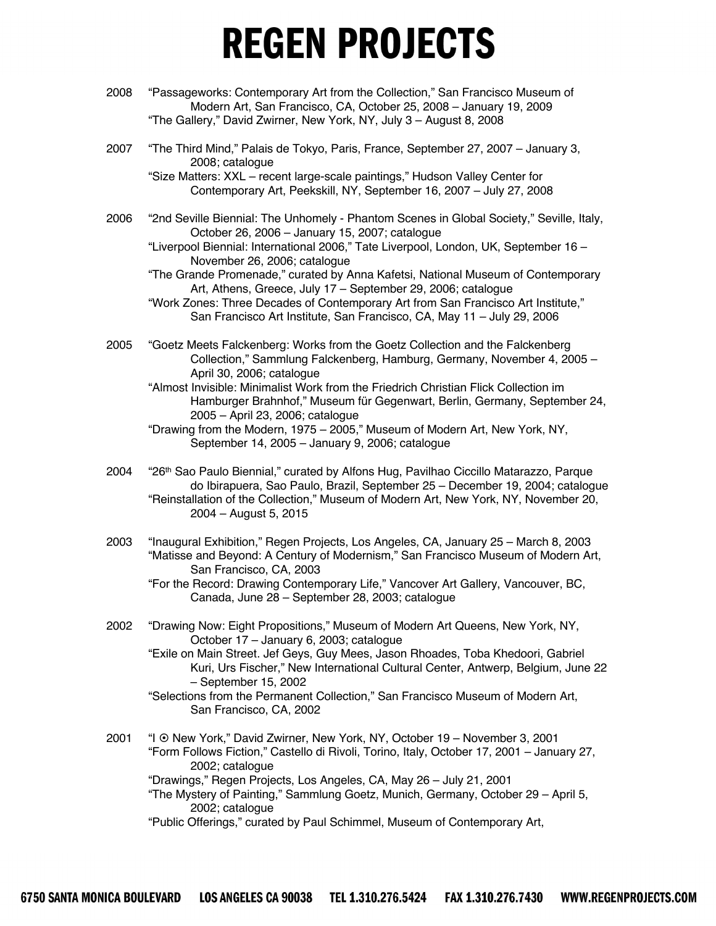- 2008 "Passageworks: Contemporary Art from the Collection," San Francisco Museum of Modern Art, San Francisco, CA, October 25, 2008 – January 19, 2009 "The Gallery," David Zwirner, New York, NY, July 3 – August 8, 2008
- 2007 "The Third Mind," Palais de Tokyo, Paris, France, September 27, 2007 January 3, 2008; catalogue

"Size Matters: XXL – recent large-scale paintings," Hudson Valley Center for Contemporary Art, Peekskill, NY, September 16, 2007 – July 27, 2008

2006 "2nd Seville Biennial: The Unhomely - Phantom Scenes in Global Society," Seville, Italy, October 26, 2006 – January 15, 2007; catalogue

"Liverpool Biennial: International 2006," Tate Liverpool, London, UK, September 16 – November 26, 2006; catalogue

"The Grande Promenade," curated by Anna Kafetsi, National Museum of Contemporary Art, Athens, Greece, July 17 – September 29, 2006; catalogue

 "Work Zones: Three Decades of Contemporary Art from San Francisco Art Institute," San Francisco Art Institute, San Francisco, CA, May 11 – July 29, 2006

- 2005 "Goetz Meets Falckenberg: Works from the Goetz Collection and the Falckenberg Collection," Sammlung Falckenberg, Hamburg, Germany, November 4, 2005 – April 30, 2006; catalogue
	- "Almost Invisible: Minimalist Work from the Friedrich Christian Flick Collection im Hamburger Brahnhof," Museum für Gegenwart, Berlin, Germany, September 24, 2005 – April 23, 2006; catalogue
	- "Drawing from the Modern, 1975 2005," Museum of Modern Art, New York, NY, September 14, 2005 – January 9, 2006; catalogue
- 2004 "26th Sao Paulo Biennial," curated by Alfons Hug, Pavilhao Ciccillo Matarazzo, Parque do Ibirapuera, Sao Paulo, Brazil, September 25 – December 19, 2004; catalogue "Reinstallation of the Collection," Museum of Modern Art, New York, NY, November 20, 2004 – August 5, 2015
- 2003 "Inaugural Exhibition," Regen Projects, Los Angeles, CA, January 25 March 8, 2003 "Matisse and Beyond: A Century of Modernism," San Francisco Museum of Modern Art, San Francisco, CA, 2003

"For the Record: Drawing Contemporary Life," Vancover Art Gallery, Vancouver, BC, Canada, June 28 – September 28, 2003; catalogue

2002 "Drawing Now: Eight Propositions," Museum of Modern Art Queens, New York, NY, October 17 – January 6, 2003; catalogue

"Exile on Main Street. Jef Geys, Guy Mees, Jason Rhoades, Toba Khedoori, Gabriel Kuri, Urs Fischer," New International Cultural Center, Antwerp, Belgium, June 22 – September 15, 2002

- "Selections from the Permanent Collection," San Francisco Museum of Modern Art, San Francisco, CA, 2002
- 2001 "I ¤ New York," David Zwirner, New York, NY, October 19 November 3, 2001 "Form Follows Fiction," Castello di Rivoli, Torino, Italy, October 17, 2001 – January 27, 2002; catalogue

"Drawings," Regen Projects, Los Angeles, CA, May 26 – July 21, 2001

"The Mystery of Painting," Sammlung Goetz, Munich, Germany, October 29 – April 5, 2002; catalogue

"Public Offerings," curated by Paul Schimmel, Museum of Contemporary Art,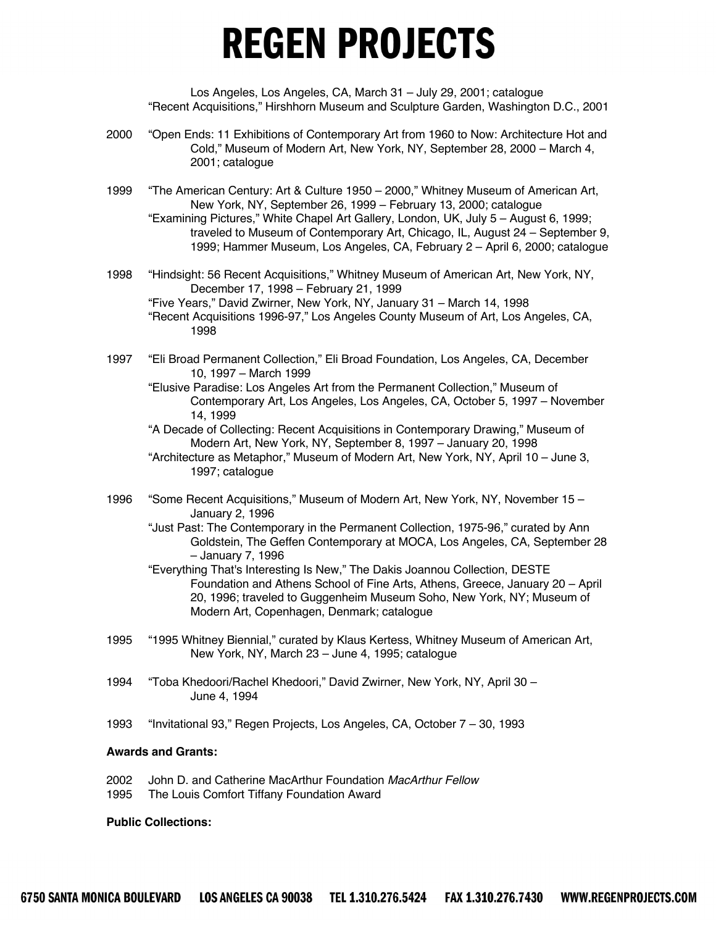Los Angeles, Los Angeles, CA, March 31 – July 29, 2001; catalogue "Recent Acquisitions," Hirshhorn Museum and Sculpture Garden, Washington D.C., 2001

- 2000 "Open Ends: 11 Exhibitions of Contemporary Art from 1960 to Now: Architecture Hot and Cold," Museum of Modern Art, New York, NY, September 28, 2000 – March 4, 2001; catalogue
- 1999 "The American Century: Art & Culture 1950 2000," Whitney Museum of American Art, New York, NY, September 26, 1999 – February 13, 2000; catalogue "Examining Pictures," White Chapel Art Gallery, London, UK, July 5 – August 6, 1999; traveled to Museum of Contemporary Art, Chicago, IL, August 24 – September 9, 1999; Hammer Museum, Los Angeles, CA, February 2 – April 6, 2000; catalogue
- 1998 "Hindsight: 56 Recent Acquisitions," Whitney Museum of American Art, New York, NY, December 17, 1998 – February 21, 1999 "Five Years," David Zwirner, New York, NY, January 31 – March 14, 1998 "Recent Acquisitions 1996-97," Los Angeles County Museum of Art, Los Angeles, CA, 1998
- 1997 "Eli Broad Permanent Collection," Eli Broad Foundation, Los Angeles, CA, December 10, 1997 – March 1999
	- "Elusive Paradise: Los Angeles Art from the Permanent Collection," Museum of Contemporary Art, Los Angeles, Los Angeles, CA, October 5, 1997 – November 14, 1999
	- "A Decade of Collecting: Recent Acquisitions in Contemporary Drawing," Museum of Modern Art, New York, NY, September 8, 1997 – January 20, 1998
	- "Architecture as Metaphor," Museum of Modern Art, New York, NY, April 10 June 3, 1997; catalogue
- 1996 "Some Recent Acquisitions," Museum of Modern Art, New York, NY, November 15 January 2, 1996
	- "Just Past: The Contemporary in the Permanent Collection, 1975-96," curated by Ann Goldstein, The Geffen Contemporary at MOCA, Los Angeles, CA, September 28 – January 7, 1996
	- "Everything That's Interesting Is New," The Dakis Joannou Collection, DESTE Foundation and Athens School of Fine Arts, Athens, Greece, January 20 – April 20, 1996; traveled to Guggenheim Museum Soho, New York, NY; Museum of Modern Art, Copenhagen, Denmark; catalogue
- 1995 "1995 Whitney Biennial," curated by Klaus Kertess, Whitney Museum of American Art, New York, NY, March 23 – June 4, 1995; catalogue
- 1994 "Toba Khedoori/Rachel Khedoori," David Zwirner, New York, NY, April 30 June 4, 1994
- 1993 "Invitational 93," Regen Projects, Los Angeles, CA, October 7 30, 1993

### **Awards and Grants:**

- 2002 John D. and Catherine MacArthur Foundation *MacArthur Fellow*
- 1995 The Louis Comfort Tiffany Foundation Award

#### **Public Collections:**